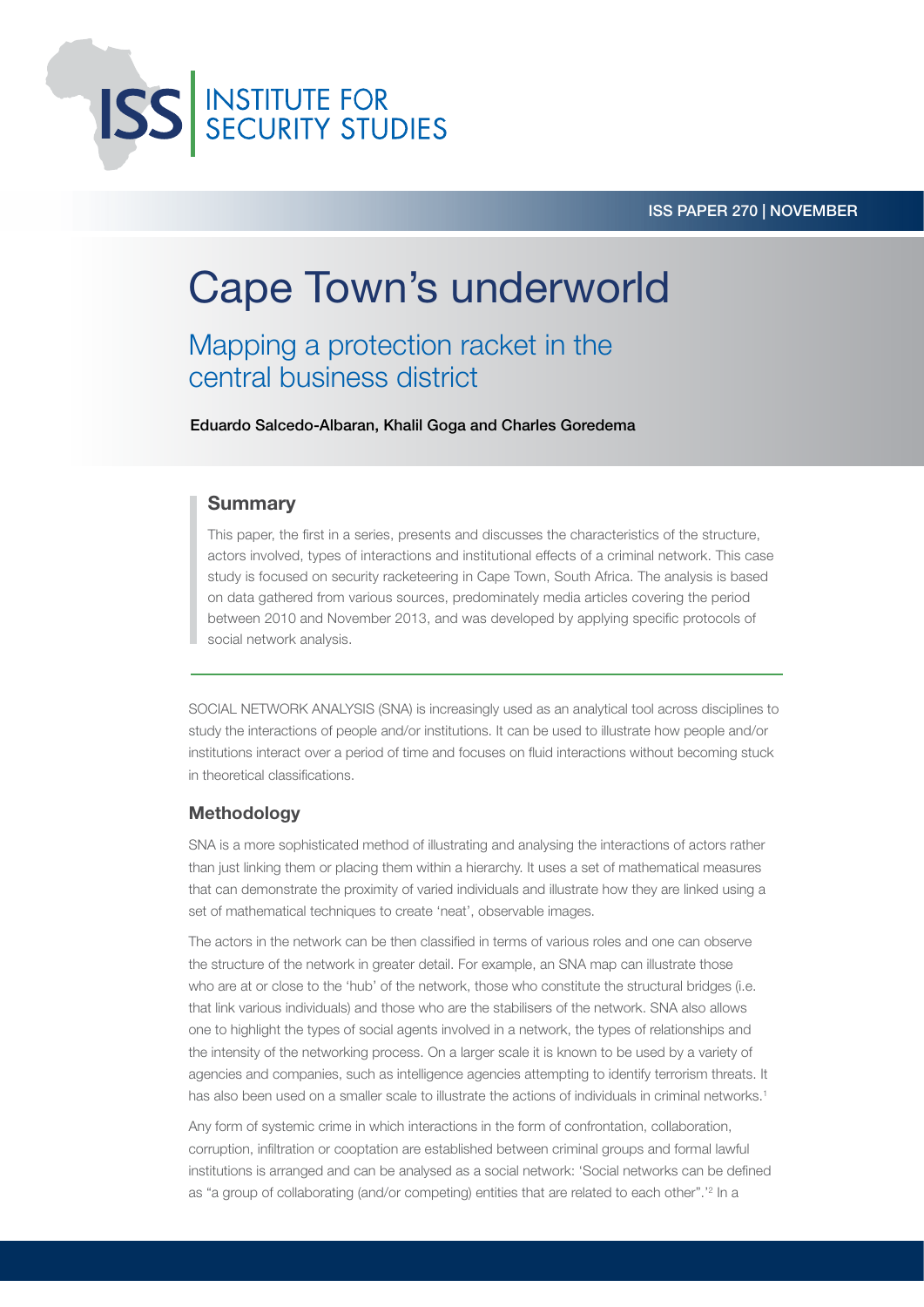

### ISS PAPER 270 | NOVEMBER

# Cape Town's underworld

Mapping a protection racket in the central business district

Eduardo Salcedo-Albaran, Khalil Goga and Charles Goredema

### Summary

This paper, the first in a series, presents and discusses the characteristics of the structure, actors involved, types of interactions and institutional effects of a criminal network. This case study is focused on security racketeering in Cape Town, South Africa. The analysis is based on data gathered from various sources, predominately media articles covering the period between 2010 and November 2013, and was developed by applying specific protocols of social network analysis.

SOCIAL NETWORK ANALYSIS (SNA) is increasingly used as an analytical tool across disciplines to study the interactions of people and/or institutions. It can be used to illustrate how people and/or institutions interact over a period of time and focuses on fluid interactions without becoming stuck in theoretical classifications.

### Methodology

SNA is a more sophisticated method of illustrating and analysing the interactions of actors rather than just linking them or placing them within a hierarchy. It uses a set of mathematical measures that can demonstrate the proximity of varied individuals and illustrate how they are linked using a set of mathematical techniques to create 'neat', observable images.

The actors in the network can be then classified in terms of various roles and one can observe the structure of the network in greater detail. For example, an SNA map can illustrate those who are at or close to the 'hub' of the network, those who constitute the structural bridges (i.e. that link various individuals) and those who are the stabilisers of the network. SNA also allows one to highlight the types of social agents involved in a network, the types of relationships and the intensity of the networking process. On a larger scale it is known to be used by a variety of agencies and companies, such as intelligence agencies attempting to identify terrorism threats. It has also been used on a smaller scale to illustrate the actions of individuals in criminal networks.<sup>1</sup>

Any form of systemic crime in which interactions in the form of confrontation, collaboration, corruption, infiltration or cooptation are established between criminal groups and formal lawful institutions is arranged and can be analysed as a social network: 'Social networks can be defined as "a group of collaborating (and/or competing) entities that are related to each other".'<sup>2</sup> In a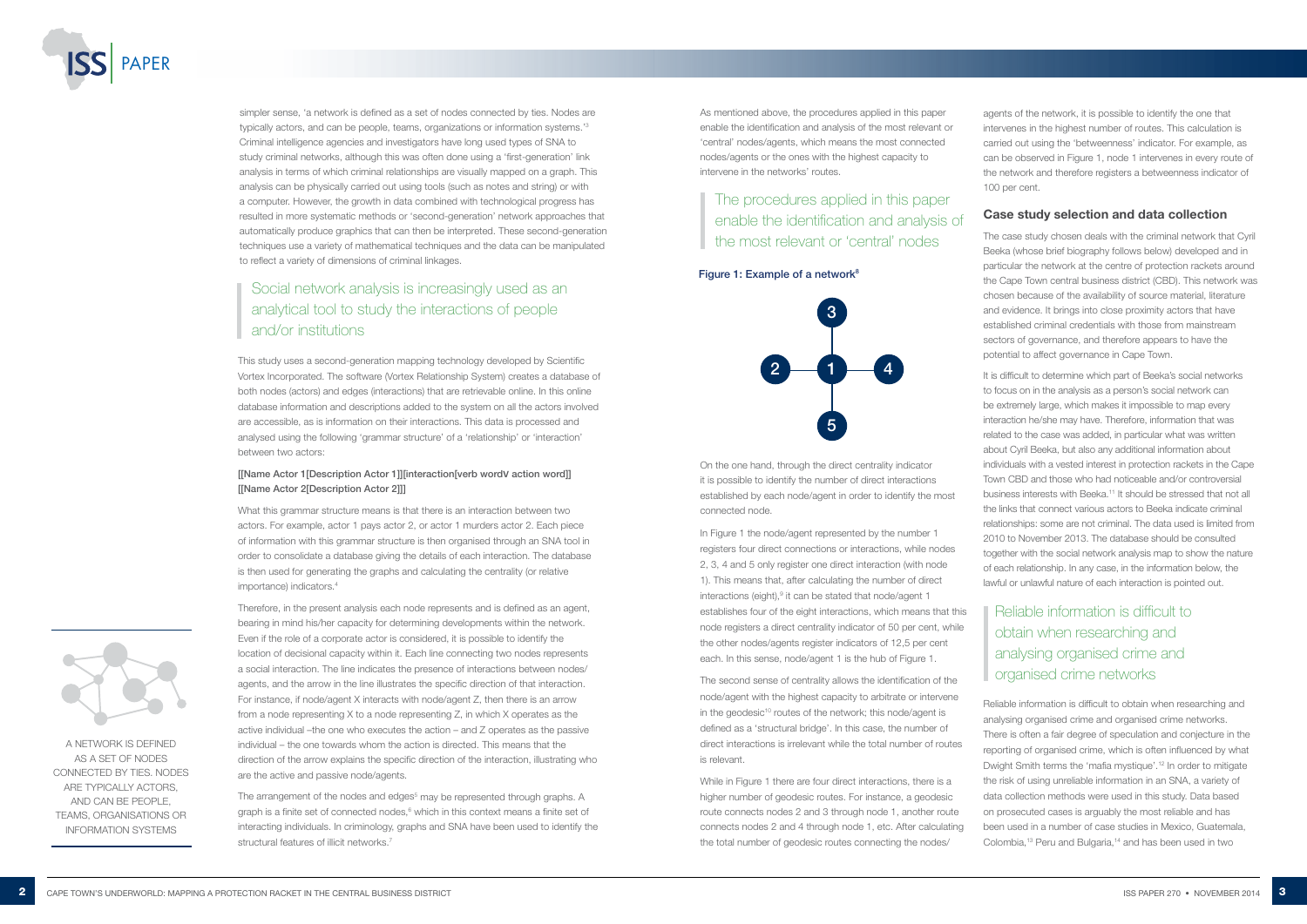

simpler sense, 'a network is defined as a set of nodes connected by ties. Nodes are typically actors, and can be people, teams, organizations or information systems.'3 Criminal intelligence agencies and investigators have long used types of SNA to study criminal networks, although this was often done using a 'first-generation' link analysis in terms of which criminal relationships are visually mapped on a graph. This analysis can be physically carried out using tools (such as notes and string) or with a computer. However, the growth in data combined with technological progress has resulted in more systematic methods or 'second-generation' network approaches that automatically produce graphics that can then be interpreted. These second-generation techniques use a variety of mathematical techniques and the data can be manipulated to reflect a variety of dimensions of criminal linkages.

This study uses a second-generation mapping technology developed by Scientific Vortex Incorporated. The software (Vortex Relationship System) creates a database of both nodes (actors) and edges (interactions) that are retrievable online. In this online database information and descriptions added to the system on all the actors involved are accessible, as is information on their interactions. This data is processed and analysed using the following 'grammar structure' of a 'relationship' or 'interaction' between two actors:

#### [[Name Actor 1[Description Actor 1]][interaction[verb word**V** action word]] [[Name Actor 2[Description Actor 2]]]

What this grammar structure means is that there is an interaction between two actors. For example, actor 1 pays actor 2, or actor 1 murders actor 2. Each piece of information with this grammar structure is then organised through an SNA tool in order to consolidate a database giving the details of each interaction. The database is then used for generating the graphs and calculating the centrality (or relative importance) indicators.4

Therefore, in the present analysis each node represents and is defined as an agent, bearing in mind his/her capacity for determining developments within the network. Even if the role of a corporate actor is considered, it is possible to identify the location of decisional capacity within it. Each line connecting two nodes represents a social interaction. The line indicates the presence of interactions between nodes/ agents, and the arrow in the line illustrates the specific direction of that interaction. For instance, if node/agent X interacts with node/agent Z, then there is an arrow from a node representing X to a node representing Z, in which X operates as the active individual –the one who executes the action – and Z operates as the passive individual – the one towards whom the action is directed. This means that the direction of the arrow explains the specific direction of the interaction, illustrating who are the active and passive node/agents.

The arrangement of the nodes and edges<sup>5</sup> may be represented through graphs. A graph is a finite set of connected nodes, $6$  which in this context means a finite set of interacting individuals. In criminology, graphs and SNA have been used to identify the structural features of illicit networks.<sup>7</sup>

In Figure 1 the node/agent represented by the number 1 registers four direct connections or interactions, while nodes 2, 3, 4 and 5 only register one direct interaction (with node 1). This means that, after calculating the number of direct interactions (eight),<sup>9</sup> it can be stated that node/agent 1 establishes four of the eight interactions, which means that this node registers a direct centrality indicator of 50 per cent, while the other nodes/agents register indicators of 12,5 per cent each. In this sense, node/agent 1 is the hub of Figure 1.

> Reliable information is difficult to obtain when researching and analysing organised crime and organised crime networks. There is often a fair degree of speculation and conjecture in the reporting of organised crime, which is often influenced by what Dwight Smith terms the 'mafia mystique'.12 In order to mitigate the risk of using unreliable information in an SNA, a variety of data collection methods were used in this study. Data based on prosecuted cases is arguably the most reliable and has been used in a number of case studies in Mexico, Guatemala, Colombia,<sup>13</sup> Peru and Bulgaria,<sup>14</sup> and has been used in two

As mentioned above, the procedures applied in this paper enable the identification and analysis of the most relevant or 'central' nodes/agents, which means the most connected nodes/agents or the ones with the highest capacity to intervene in the networks' routes.

agents of the network, it is possible to identify the one that intervenes in the highest number of routes. This calculation is carried out using the 'betweenness' indicator. For example, as can be observed in Figure 1, node 1 intervenes in every route of the network and therefore registers a betweenness indicator of 100 per cent.

# Case study selection and data collection

The case study chosen deals with the criminal network that Cyril Beeka (whose brief biography follows below) developed and in particular the network at the centre of protection rackets around the Cape Town central business district (CBD). This network was chosen because of the availability of source material, literature and evidence. It brings into close proximity actors that have established criminal credentials with those from mainstream sectors of governance, and therefore appears to have the potential to affect governance in Cape Town.

It is difficult to determine which part of Beeka's social networks to focus on in the analysis as a person's social network can be extremely large, which makes it impossible to map every interaction he/she may have. Therefore, information that was related to the case was added, in particular what was written about Cyril Beeka, but also any additional information about individuals with a vested interest in protection rackets in the Cape Town CBD and those who had noticeable and/or controversial business interests with Beeka.<sup>11</sup> It should be stressed that not all the links that connect various actors to Beeka indicate criminal relationships: some are not criminal. The data used is limited from 2010 to November 2013. The database should be consulted together with the social network analysis map to show the nature of each relationship. In any case, in the information below, the lawful or unlawful nature of each interaction is pointed out.

On the one hand, through the direct centrality indicator it is possible to identify the number of direct interactions established by each node/agent in order to identify the most connected node.

The second sense of centrality allows the identification of the node/agent with the highest capacity to arbitrate or intervene in the geodesic<sup>10</sup> routes of the network; this node/agent is defined as a 'structural bridge'. In this case, the number of direct interactions is irrelevant while the total number of routes is relevant.

While in Figure 1 there are four direct interactions, there is a higher number of geodesic routes. For instance, a geodesic route connects nodes 2 and 3 through node 1, another route connects nodes 2 and 4 through node 1, etc. After calculating the total number of geodesic routes connecting the nodes/





# Social network analysis is increasingly used as an analytical tool to study the interactions of people and/or institutions

# The procedures applied in this paper enable the identification and analysis of the most relevant or 'central' nodes

#### Figure 1: Example of a network<sup>8</sup>

Reliable information is difficult to obtain when researching and analysing organised crime and organised crime networks

A NETWORK IS DEFINED AS A SET OF NODES CONNECTED BY TIES. NODES ARE TYPICALLY ACTORS, AND CAN BE PEOPLE, TEAMS, ORGANISATIONS OR INFORMATION SYSTEMS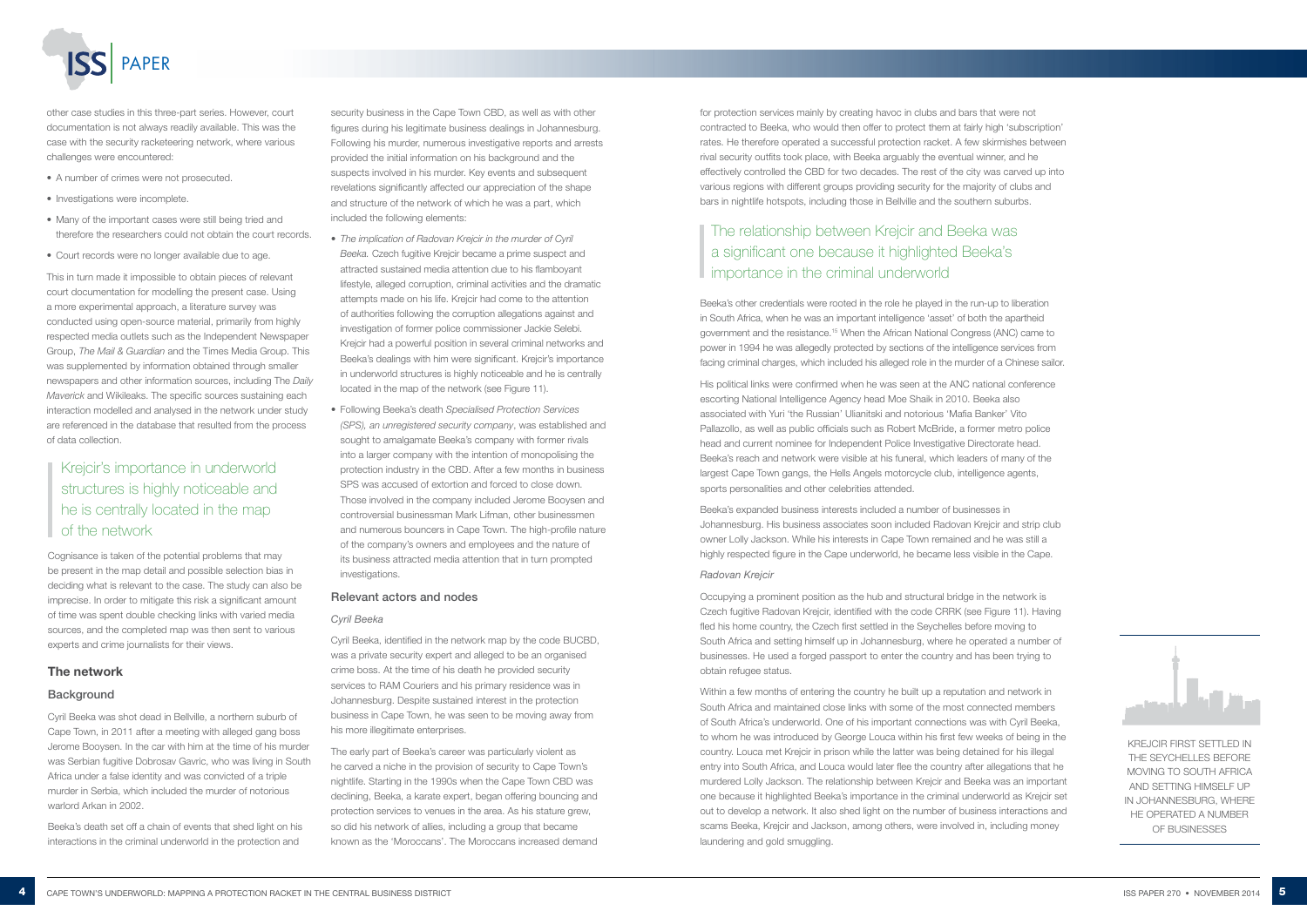

security business in the Cape Town CBD, as well as with other figures during his legitimate business dealings in Johannesburg. Following his murder, numerous investigative reports and arrests provided the initial information on his background and the suspects involved in his murder. Key events and subsequent revelations significantly affected our appreciation of the shape and structure of the network of which he was a part, which included the following elements:

- *The implication of Radovan Krejcir in the murder of Cyril Beeka.* Czech fugitive Krejcir became a prime suspect and attracted sustained media attention due to his flamboyant lifestyle, alleged corruption, criminal activities and the dramatic attempts made on his life. Krejcir had come to the attention of authorities following the corruption allegations against and investigation of former police commissioner Jackie Selebi. Krejcir had a powerful position in several criminal networks and Beeka's dealings with him were significant. Krejcir's importance in underworld structures is highly noticeable and he is centrally located in the map of the network (see Figure 11).
- Following Beeka's death *Specialised Protection Services (SPS), an unregistered security company*, was established and sought to amalgamate Beeka's company with former rivals into a larger company with the intention of monopolising the protection industry in the CBD. After a few months in business SPS was accused of extortion and forced to close down. Those involved in the company included Jerome Booysen and controversial businessman Mark Lifman, other businessmen and numerous bouncers in Cape Town. The high-profile nature of the company's owners and employees and the nature of its business attracted media attention that in turn prompted investigations.

#### Relevant actors and nodes

#### *Cyril Beeka*

Cyril Beeka, identified in the network map by the code BUCBD, was a private security expert and alleged to be an organised crime boss. At the time of his death he provided security services to RAM Couriers and his primary residence was in Johannesburg. Despite sustained interest in the protection business in Cape Town, he was seen to be moving away from his more illegitimate enterprises.

The early part of Beeka's career was particularly violent as he carved a niche in the provision of security to Cape Town's nightlife. Starting in the 1990s when the Cape Town CBD was declining, Beeka, a karate expert, began offering bouncing and protection services to venues in the area. As his stature grew, so did his network of allies, including a group that became known as the 'Moroccans'. The Moroccans increased demand

for protection services mainly by creating havoc in clubs and bars that were not contracted to Beeka, who would then offer to protect them at fairly high 'subscription' rates. He therefore operated a successful protection racket. A few skirmishes between rival security outfits took place, with Beeka arguably the eventual winner, and he effectively controlled the CBD for two decades. The rest of the city was carved up into various regions with different groups providing security for the majority of clubs and bars in nightlife hotspots, including those in Bellville and the southern suburbs.

other case studies in this three-part series. However, court documentation is not always readily available. This was the case with the security racketeering network, where various challenges were encountered:

- A number of crimes were not prosecuted.
- Investigations were incomplete.
- Many of the important cases were still being tried and therefore the researchers could not obtain the court records.
- Court records were no longer available due to age.

This in turn made it impossible to obtain pieces of relevant court documentation for modelling the present case. Using a more experimental approach, a literature survey was conducted using open-source material, primarily from highly respected media outlets such as the Independent Newspaper Group, *The Mail & Guardian* and the Times Media Group. This was supplemented by information obtained through smaller newspapers and other information sources, including The *Daily Maverick* and Wikileaks. The specific sources sustaining each interaction modelled and analysed in the network under study are referenced in the database that resulted from the process of data collection.

> KREJCIR FIRST SETTLED IN THE SEYCHELLES BEFORE MOVING TO SOUTH AFRICA AND SETTING HIMSELF UP IN JOHANNESBURG, WHERE HE OPERATED A NUMBER OF BUSINESSES

Beeka's other credentials were rooted in the role he played in the run-up to liberation in South Africa, when he was an important intelligence 'asset' of both the apartheid government and the resistance.15 When the African National Congress (ANC) came to power in 1994 he was allegedly protected by sections of the intelligence services from facing criminal charges, which included his alleged role in the murder of a Chinese sailor.

His political links were confirmed when he was seen at the ANC national conference escorting National Intelligence Agency head Moe Shaik in 2010. Beeka also associated with Yuri 'the Russian' Ulianitski and notorious 'Mafia Banker' Vito Pallazollo, as well as public officials such as Robert McBride, a former metro police head and current nominee for Independent Police Investigative Directorate head. Beeka's reach and network were visible at his funeral, which leaders of many of the largest Cape Town gangs, the Hells Angels motorcycle club, intelligence agents, sports personalities and other celebrities attended.

Beeka's expanded business interests included a number of businesses in Johannesburg. His business associates soon included Radovan Krejcir and strip club owner Lolly Jackson. While his interests in Cape Town remained and he was still a highly respected figure in the Cape underworld, he became less visible in the Cape.

#### *Radovan Krejcir*

Occupying a prominent position as the hub and structural bridge in the network is Czech fugitive Radovan Krejcir, identified with the code CRRK (see Figure 11). Having fled his home country, the Czech first settled in the Seychelles before moving to South Africa and setting himself up in Johannesburg, where he operated a number of businesses. He used a forged passport to enter the country and has been trying to obtain refugee status.

Within a few months of entering the country he built up a reputation and network in South Africa and maintained close links with some of the most connected members of South Africa's underworld. One of his important connections was with Cyril Beeka, to whom he was introduced by George Louca within his first few weeks of being in the country. Louca met Krejcir in prison while the latter was being detained for his illegal entry into South Africa, and Louca would later flee the country after allegations that he murdered Lolly Jackson. The relationship between Krejcir and Beeka was an important one because it highlighted Beeka's importance in the criminal underworld as Krejcir set out to develop a network. It also shed light on the number of business interactions and scams Beeka, Krejcir and Jackson, among others, were involved in, including money laundering and gold smuggling.



Cognisance is taken of the potential problems that may be present in the map detail and possible selection bias in deciding what is relevant to the case. The study can also be imprecise. In order to mitigate this risk a significant amount of time was spent double checking links with varied media sources, and the completed map was then sent to various experts and crime journalists for their views.

## The network

#### **Background**

Cyril Beeka was shot dead in Bellville, a northern suburb of Cape Town, in 2011 after a meeting with alleged gang boss Jerome Booysen. In the car with him at the time of his murder was Serbian fugitive Dobrosav Gavric, who was living in South Africa under a false identity and was convicted of a triple murder in Serbia, which included the murder of notorious warlord Arkan in 2002.

Beeka's death set off a chain of events that shed light on his interactions in the criminal underworld in the protection and

# The relationship between Krejcir and Beeka was a significant one because it highlighted Beeka's importance in the criminal underworld

# Krejcir's importance in underworld structures is highly noticeable and he is centrally located in the map of the network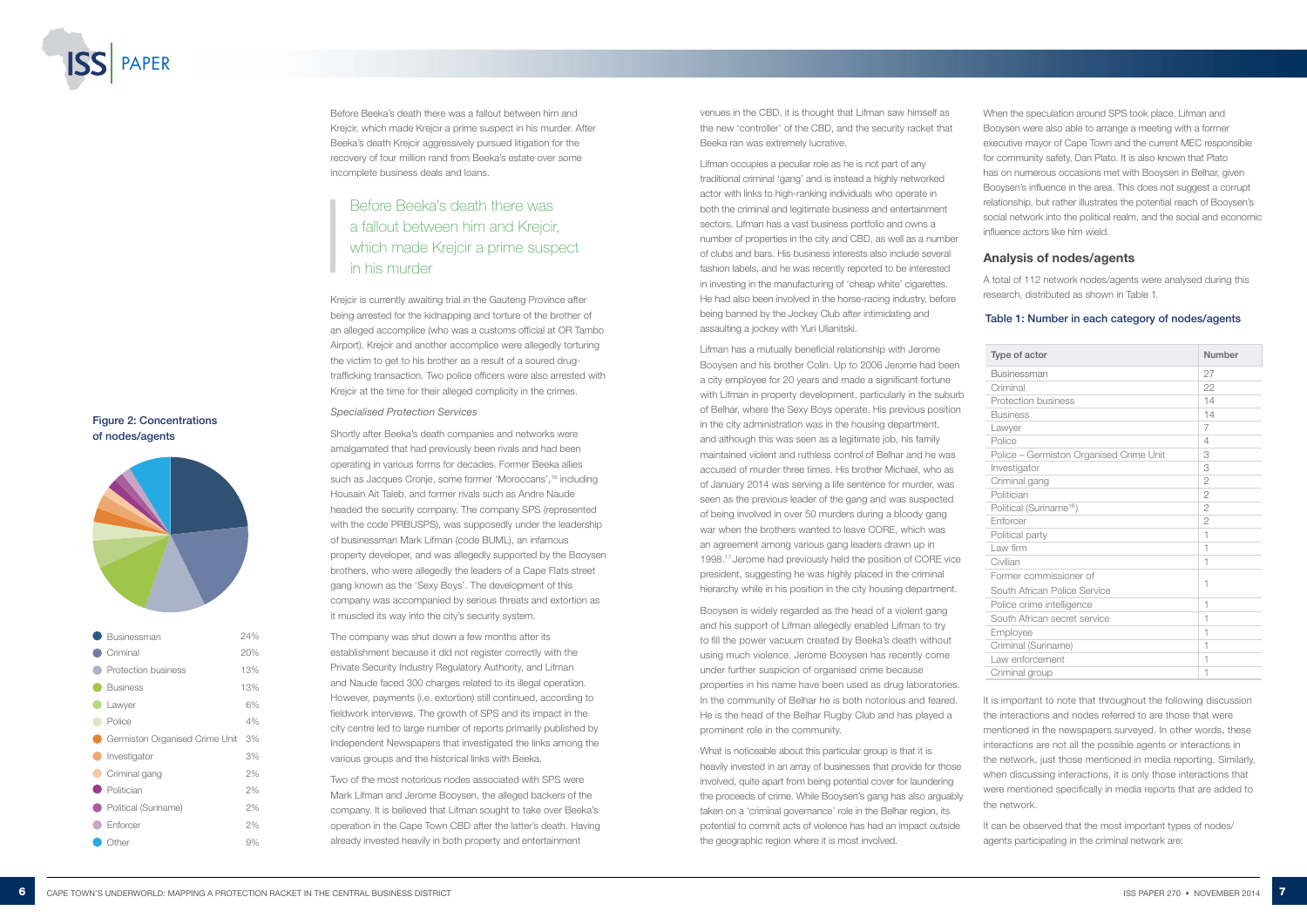venues in the CBD, it is thought that Lifman saw himself as the new 'controller' of the CBD, and the security racket that Beeka ran was extremely lucrative.

Lifman occupies a peculiar role as he is not part of any traditional criminal 'gang' and is instead a highly networked actor with links to high-ranking individuals who operate in both the criminal and legitimate business and entertainment sectors. Lifman has a vast business portfolio and owns a number of properties in the city and CBD, as well as a number of clubs and bars. His business interests also include several fashion labels, and he was recently reported to be interested in investing in the manufacturing of 'cheap white' cigarettes. He had also been involved in the horse-racing industry, before being banned by the Jockey Club after intimidating and assaulting a jockey with Yuri Ulianitski.

What is noticeable about this particular group is that it is heavily invested in an array of businesses that provide for those involved, quite apart from being potential cover for laundering the proceeds of crime. While Booysen's gang has also arguably taken on a 'criminal governance' role in the Belhar region, its potential to commit acts of violence has had an impact outside the geographic region where it is most involved.

Lifman has a mutually beneficial relationship with Jerome Booysen and his brother Colin. Up to 2006 Jerome had been a city employee for 20 years and made a significant fortune with Lifman in property development, particularly in the suburb of Belhar, where the Sexy Boys operate. His previous position in the city administration was in the housing department, and although this was seen as a legitimate job, his family maintained violent and ruthless control of Belhar and he was accused of murder three times. His brother Michael, who as of January 2014 was serving a life sentence for murder, was seen as the previous leader of the gang and was suspected of being involved in over 50 murders during a bloody gang war when the brothers wanted to leave CORE, which was an agreement among various gang leaders drawn up in 1998.17 Jerome had previously held the position of CORE vice president, suggesting he was highly placed in the criminal hierarchy while in his position in the city housing department.

Booysen is widely regarded as the head of a violent gang and his support of Lifman allegedly enabled Lifman to try to fill the power vacuum created by Beeka's death without using much violence. Jerome Booysen has recently come under further suspicion of organised crime because properties in his name have been used as drug laboratories. In the community of Belhar he is both notorious and feared. He is the head of the Belhar Rugby Club and has played a prominent role in the community.

# Before Beeka's death there was a fallout between him and Krejcir, which made Kreicir a prime suspect in his murder

Before Beeka's death there was a fallout between him and Krejcir, which made Krejcir a prime suspect in his murder. After Beeka's death Krejcir aggressively pursued litigation for the recovery of four million rand from Beeka's estate over some incomplete business deals and loans.

> It is important to note that throughout the following discussion the interactions and nodes referred to are those that were mentioned in the newspapers surveyed. In other words, these interactions are not all the possible agents or interactions in the network, just those mentioned in media reporting. Similarly, when discussing interactions, it is only those interactions that were mentioned specifically in media reports that are added to the network.

Krejcir is currently awaiting trial in the Gauteng Province after being arrested for the kidnapping and torture of the brother of an alleged accomplice (who was a customs official at OR Tambo Airport). Krejcir and another accomplice were allegedly torturing the victim to get to his brother as a result of a soured drugtrafficking transaction. Two police officers were also arrested with Krejcir at the time for their alleged complicity in the crimes.

#### *Specialised Protection Services*

Shortly after Beeka's death companies and networks were amalgamated that had previously been rivals and had been operating in various forms for decades. Former Beeka allies such as Jacques Cronje, some former 'Moroccans',16 including Housain Ait Taleb, and former rivals such as Andre Naude headed the security company. The company SPS (represented with the code PRBUSPS), was supposedly under the leadership of businessman Mark Lifman (code BUML), an infamous property developer, and was allegedly supported by the Booysen brothers, who were allegedly the leaders of a Cape Flats street gang known as the 'Sexy Boys'. The development of this company was accompanied by serious threats and extortion as it muscled its way into the city's security system.

The company was shut down a few months after its establishment because it did not register correctly with the Private Security Industry Regulatory Authority, and Lifman and Naude faced 300 charges related to its illegal operation. However, payments (i.e. extortion) still continued, according to fieldwork interviews. The growth of SPS and its impact in the city centre led to large number of reports primarily published by Independent Newspapers that investigated the links among the various groups and the historical links with Beeka.

Two of the most notorious nodes associated with SPS were Mark Lifman and Jerome Booysen, the alleged backers of the company. It is believed that Lifman sought to take over Beeka's operation in the Cape Town CBD after the latter's death. Having already invested heavily in both property and entertainment

When the speculation around SPS took place, Lifman and Booysen were also able to arrange a meeting with a former executive mayor of Cape Town and the current MEC responsible for community safety, Dan Plato. It is also known that Plato has on numerous occasions met with Booysen in Belhar, given Booysen's influence in the area. This does not suggest a corrupt relationship, but rather illustrates the potential reach of Booysen's social network into the political realm, and the social and economic influence actors like him wield.

# Analysis of nodes/agents

A total of 112 network nodes/agents were analysed during this research, distributed as shown in Table 1.

# Table 1: Number in each category of nodes/agents

| Type of actor                           | Number         |
|-----------------------------------------|----------------|
| <b>Businessman</b>                      | 27             |
| Criminal                                | 22             |
| Protection business                     | 14             |
| <b>Business</b>                         | 14             |
| Lawyer                                  | 7              |
| Police                                  | 4              |
| Police - Germiston Organised Crime Unit | 3              |
| Investigator                            | 3              |
| Criminal gang                           | $\overline{2}$ |
| Politician                              | $\overline{2}$ |
| Political (Suriname <sup>18</sup> )     | $\overline{2}$ |
| Enforcer                                | $\overline{2}$ |
| Political party                         | 1              |
| Law firm                                | 1              |
| Civilian                                | 1              |
| Former commissioner of                  | 1              |
| South African Police Service            |                |
| Police crime intelligence               | 1              |
| South African secret service            | 1              |
| Employee                                | 1              |
| Criminal (Suriname)                     | 1              |
| Law enforcement                         | 1              |
| Criminal group                          | 1              |

It can be observed that the most important types of nodes/ agents participating in the criminal network are:



| Lawyer                         | 6% |
|--------------------------------|----|
| Police                         | 4% |
| Germiston Organised Crime Unit | 3% |
| Investigator                   | 3% |
| Criminal gang                  | 2% |
| • Politician                   | 2% |
| Political (Suriname)           | 2% |
| Enforcer                       | 2% |
| )ther                          | 9% |

# Figure 2: Concentrations of nodes/agents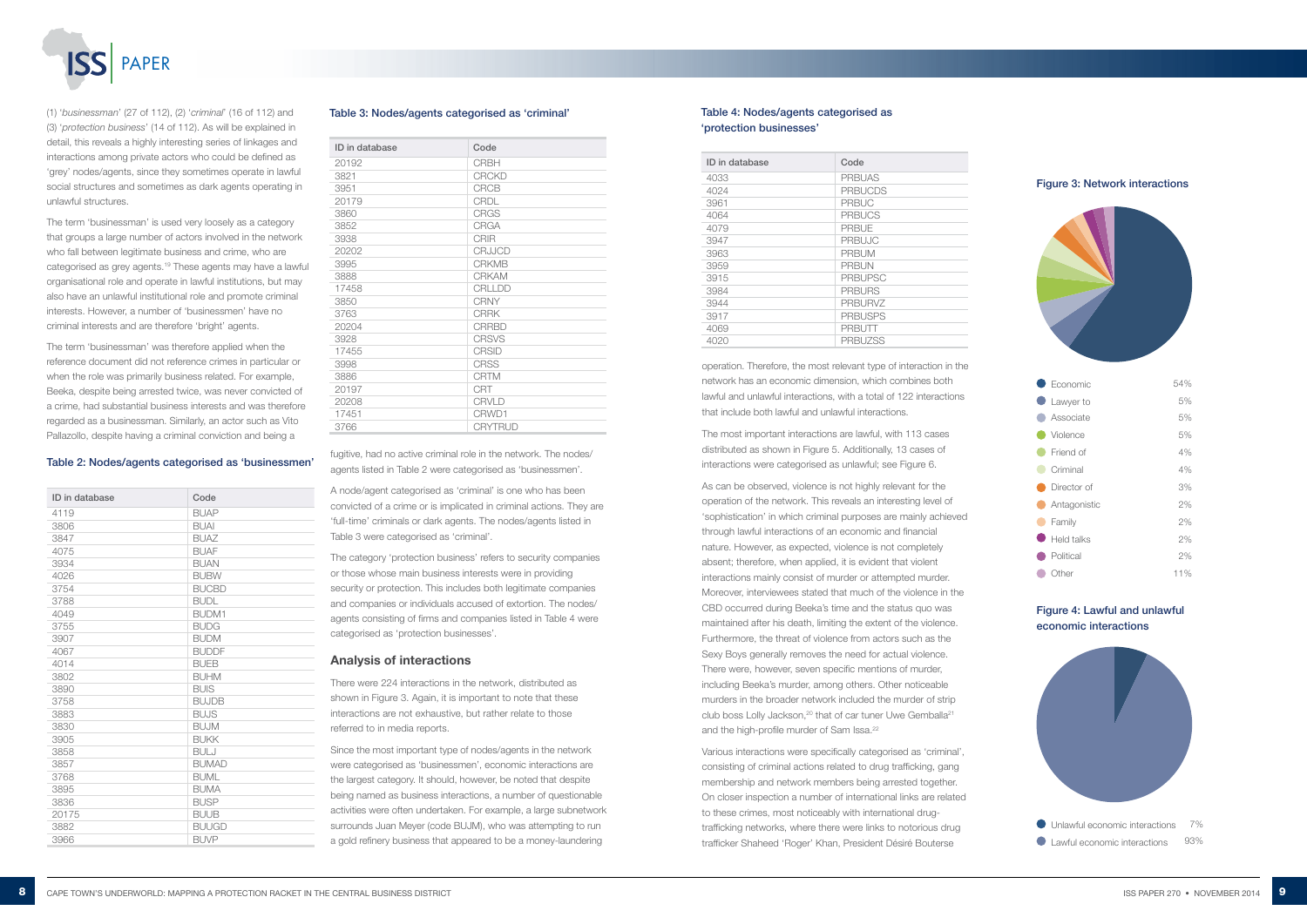

#### Table 2: Nodes/agents categorised as 'businessmen'

| ID in database | Code         |
|----------------|--------------|
| 4119           | <b>BUAP</b>  |
| 3806           | <b>BUAI</b>  |
| 3847           | <b>BUAZ</b>  |
| 4075           | <b>BUAF</b>  |
| 3934           | <b>BUAN</b>  |
| 4026           | <b>BUBW</b>  |
| 3754           | <b>BUCBD</b> |
| 3788           | <b>BUDL</b>  |
| 4049           | <b>BUDM1</b> |
| 3755           | <b>BUDG</b>  |
| 3907           | <b>BUDM</b>  |
| 4067           | <b>BUDDF</b> |
| 4014           | <b>BUEB</b>  |
| 3802           | <b>BUHM</b>  |
| 3890           | <b>BUIS</b>  |
| 3758           | <b>BUJDB</b> |
| 3883           | <b>BUJS</b>  |
| 3830           | <b>BUJM</b>  |
| 3905           | <b>BUKK</b>  |
| 3858           | <b>BULJ</b>  |
| 3857           | <b>BUMAD</b> |
| 3768           | <b>BUML</b>  |
| 3895           | <b>BUMA</b>  |
| 3836           | <b>BUSP</b>  |
| 20175          | <b>BUUB</b>  |
| 3882           | <b>BUUGD</b> |
| 3966           | <b>BUVP</b>  |

(1) '*businessman*' (27 of 112), (2) '*criminal*' (16 of 112) and (3) '*protection business*' (14 of 112). As will be explained in detail, this reveals a highly interesting series of linkages and interactions among private actors who could be defined as 'grey' nodes/agents, since they sometimes operate in lawful social structures and sometimes as dark agents operating in unlawful structures.

> As can be observed, violence is not highly relevant for the operation of the network. This reveals an interesting level of 'sophistication' in which criminal purposes are mainly achieved through lawful interactions of an economic and financial nature. However, as expected, violence is not completely absent; therefore, when applied, it is evident that violent interactions mainly consist of murder or attempted murder. Moreover, interviewees stated that much of the violence in the CBD occurred during Beeka's time and the status quo was maintained after his death, limiting the extent of the violence. Furthermore, the threat of violence from actors such as the Sexy Boys generally removes the need for actual violence. There were, however, seven specific mentions of murder, including Beeka's murder, among others. Other noticeable murders in the broader network included the murder of strip club boss Lolly Jackson,<sup>20</sup> that of car tuner Uwe Gemballa<sup>21</sup> and the high-profile murder of Sam Issa.<sup>22</sup>

The term 'businessman' is used very loosely as a category that groups a large number of actors involved in the network who fall between legitimate business and crime, who are categorised as grey agents.19 These agents may have a lawful organisational role and operate in lawful institutions, but may also have an unlawful institutional role and promote criminal interests. However, a number of 'businessmen' have no criminal interests and are therefore 'bright' agents.

The term 'businessman' was therefore applied when the reference document did not reference crimes in particular or when the role was primarily business related. For example, Beeka, despite being arrested twice, was never convicted of a crime, had substantial business interests and was therefore regarded as a businessman. Similarly, an actor such as Vito Pallazollo, despite having a criminal conviction and being a

operation. Therefore, the most relevant type of interaction in the network has an economic dimension, which combines both lawful and unlawful interactions, with a total of 122 interactions that include both lawful and unlawful interactions.

The most important interactions are lawful, with 113 cases distributed as shown in Figure 5. Additionally, 13 cases of interactions were categorised as unlawful; see Figure 6.

Various interactions were specifically categorised as 'criminal', consisting of criminal actions related to drug trafficking, gang membership and network members being arrested together. On closer inspection a number of international links are related to these crimes, most noticeably with international drugtrafficking networks, where there were links to notorious drug trafficker Shaheed 'Roger' Khan, President Désiré Bouterse



fugitive, had no active criminal role in the network. The nodes/ agents listed in Table 2 were categorised as 'businessmen'.

A node/agent categorised as 'criminal' is one who has been convicted of a crime or is implicated in criminal actions. They are 'full-time' criminals or dark agents. The nodes/agents listed in Table 3 were categorised as 'criminal'.

The category 'protection business' refers to security companies or those whose main business interests were in providing security or protection. This includes both legitimate companies and companies or individuals accused of extortion. The nodes/ agents consisting of firms and companies listed in Table 4 were categorised as 'protection businesses'.

#### Analysis of interactions

There were 224 interactions in the network, distributed as shown in Figure 3. Again, it is important to note that these interactions are not exhaustive, but rather relate to those referred to in media reports.

Since the most important type of nodes/agents in the network were categorised as 'businessmen', economic interactions are the largest category. It should, however, be noted that despite being named as business interactions, a number of questionable activities were often undertaken. For example, a large subnetwork surrounds Juan Meyer (code BUJM), who was attempting to run a gold refinery business that appeared to be a money-laundering

#### Table 3: Nodes/agents categorised as 'criminal'

| ID in database | Code           |
|----------------|----------------|
| 20192          | <b>CRBH</b>    |
| 3821           | <b>CRCKD</b>   |
| 3951           | <b>CRCB</b>    |
| 20179          | <b>CRDL</b>    |
| 3860           | <b>CRGS</b>    |
| 3852           | <b>CRGA</b>    |
| 3938           | <b>CRIR</b>    |
| 20202          | <b>CRJJCD</b>  |
| 3995           | <b>CRKMB</b>   |
| 3888           | <b>CRKAM</b>   |
| 17458          | <b>CRLLDD</b>  |
| 3850           | <b>CRNY</b>    |
| 3763           | <b>CRRK</b>    |
| 20204          | <b>CRRBD</b>   |
| 3928           | <b>CRSVS</b>   |
| 17455          | <b>CRSID</b>   |
| 3998           | <b>CRSS</b>    |
| 3886           | <b>CRTM</b>    |
| 20197          | <b>CRT</b>     |
| 20208          | <b>CRVLD</b>   |
| 17451          | CRWD1          |
| 3766           | <b>CRYTRUD</b> |

### Table 4: Nodes/agents categorised as 'protection businesses'

| ID in database | Code           |
|----------------|----------------|
| 4033           | <b>PRBUAS</b>  |
| 4024           | <b>PRBUCDS</b> |
| 3961           | <b>PRBUC</b>   |
| 4064           | <b>PRBUCS</b>  |
| 4079           | <b>PRBUE</b>   |
| 3947           | <b>PRBUJC</b>  |
| 3963           | <b>PRBUM</b>   |
| 3959           | <b>PRBUN</b>   |
| 3915           | <b>PRBUPSC</b> |
| 3984           | <b>PRBURS</b>  |
| 3944           | <b>PRBURVZ</b> |
| 3917           | <b>PRBUSPS</b> |
| 4069           | PRBUTT         |
| 4020           | <b>PRBUZSS</b> |



#### Figure 4: Lawful and unlawful economic interactions

| $\bullet$ Economic | 54% |
|--------------------|-----|
| Lawyer to          | 5%  |
| Associate          | 5%  |
| Violence           | 5%  |
| Friend of          | 4%  |
| Criminal           | 4%  |
| Director of        | 3%  |
| Antagonistic       | 2%  |
| Family             | 2%  |
| Held talks         | 2%  |
| Political          | 2%  |
| Other              | 11% |
|                    |     |

#### Figure 3: Network interactions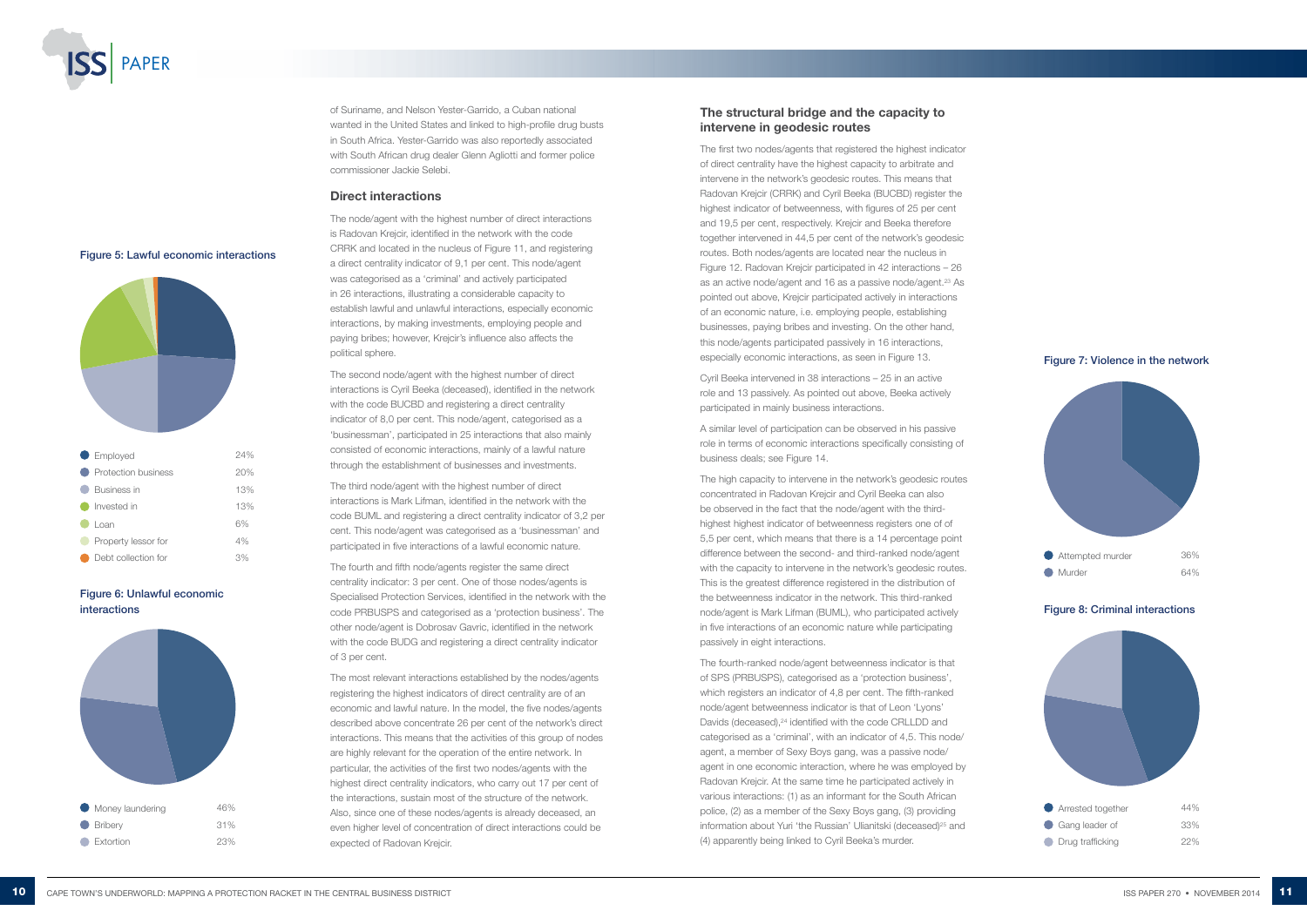The first two nodes/agents that registered the highest indicator of direct centrality have the highest capacity to arbitrate and intervene in the network's geodesic routes. This means that [Radovan Krejcir](https://vorisoma.scivortex.org/en/node/3763) (CRRK) and Cyril Beeka (BUCBD) register the highest indicator of betweenness, with figures of 25 per cent and 19,5 per cent, respectively. [Krejcir](https://vorisoma.scivortex.org/en/node/3763) and Beeka therefore together intervened in 44,5 per cent of the network's geodesic routes. Both nodes/agents are located near the nucleus in Figure 12. Radovan Krejcir participated in 42 interactions – 26 as an active node/agent and 16 as a passive node/agent.<sup>23</sup> As pointed out above, Krejcir participated actively in interactions of an economic nature, i.e. employing people, establishing businesses, paying bribes and investing. On the other hand, this node/agents participated passively in 16 interactions, especially economic interactions, as seen in Figure 13.

# The structural bridge and the capacity to intervene in geodesic routes

Cyril Beeka intervened in 38 interactions – 25 in an active role and 13 passively. As pointed out above, Beeka actively participated in mainly business interactions.

A similar level of participation can be observed in his passive role in terms of economic interactions specifically consisting of business deals; see Figure 14.

> Arrested together 44% Gang leader of 33% **O** Drug trafficking 22%

The high capacity to intervene in the network's geodesic routes concentrated in [Radovan Krejcir](https://vorisoma.scivortex.org/en/node/3763) and Cyril Beeka can also be observed in the fact that the node/agent with the thirdhighest highest indicator of betweenness registers one of of 5,5 per cent, which means that there is a 14 percentage point difference between the second- and third-ranked node/agent with the capacity to intervene in the network's geodesic routes. This is the greatest difference registered in the distribution of the betweenness indicator in the network. This third-ranked node/agent is Mark Lifman (BUML), who participated actively in five interactions of an economic nature while participating passively in eight interactions.

The fourth-ranked node/agent betweenness indicator is that of SPS (PRBUSPS), categorised as a 'protection business', which registers an indicator of 4,8 per cent. The fifth-ranked node/agent betweenness indicator is that of Leon 'Lyons' Davids (deceased),<sup>24</sup> identified with the code CRLLDD and categorised as a 'criminal', with an indicator of 4,5. This node/ agent, a member of Sexy Boys gang, was a passive node/ agent in one economic interaction, where he was employed by Radovan Krejcir. At the same time he participated actively in various interactions: (1) as an informant for the South African police, (2) as a member of the Sexy Boys gang, (3) providing information about Yuri 'the Russian' Ulianitski (deceased)<sup>25</sup> and (4) apparently being linked to Cyril Beeka's murder.



### Figure 6: Unlawful economic interactions



Figure 7: Violence in the network



of Suriname, and Nelson Yester-Garrido, a Cuban national wanted in the United States and linked to high-profile drug busts in South Africa. Yester-Garrido was also reportedly associated with South African drug dealer Glenn Agliotti and former police commissioner Jackie Selebi.

#### Direct interactions

The node/agent with the highest number of direct interactions is [Radovan Krejcir,](https://vorisoma.scivortex.org/en/node/3763) identified in the network with the code CRRK and located in the nucleus of Figure 11, and registering a direct centrality indicator of 9,1 per cent. This node/agent was categorised as a 'criminal' and actively participated in 26 interactions, illustrating a considerable capacity to establish lawful and unlawful interactions, especially economic interactions, by making investments, employing people and paying bribes; however, Krejcir's influence also affects the political sphere.

The second node/agent with the highest number of direct interactions is [Cyril Beeka \(deceased\),](https://vorisoma.scivortex.org/en/node/3754) identified in the network with the code BUCBD and registering a direct centrality indicator of 8,0 per cent. This node/agent, categorised as a 'businessman', participated in 25 interactions that also mainly consisted of economic interactions, mainly of a lawful nature through the establishment of businesses and investments.

The third node/agent with the highest number of direct interactions is [Mark Lifman](https://vorisoma.scivortex.org/en/node/3768), identified in the network with the code BUML and registering a direct centrality indicator of 3,2 per cent. This node/agent was categorised as a 'businessman' and participated in five interactions of a lawful economic nature.

The fourth and fifth node/agents register the same direct centrality indicator: 3 per cent. One of those nodes/agents is Specialised Protection Services, identified in the network with the code PRBUSPS and categorised as a 'protection business'. The other node/agent is Dobrosav Gavric, identified in the network with the code BUDG and registering a direct centrality indicator of 3 per cent.

The most relevant interactions established by the nodes/agents registering the highest indicators of direct centrality are of an economic and lawful nature. In the model, the five nodes/agents described above concentrate 26 per cent of the network's direct interactions. This means that the activities of this group of nodes are highly relevant for the operation of the entire network. In particular, the activities of the first two nodes/agents with the highest direct centrality indicators, who carry out 17 per cent of the interactions, sustain most of the structure of the network. Also, since one of these nodes/agents is already deceased, an even higher level of concentration of direct interactions could be expected of Radovan Krejcir.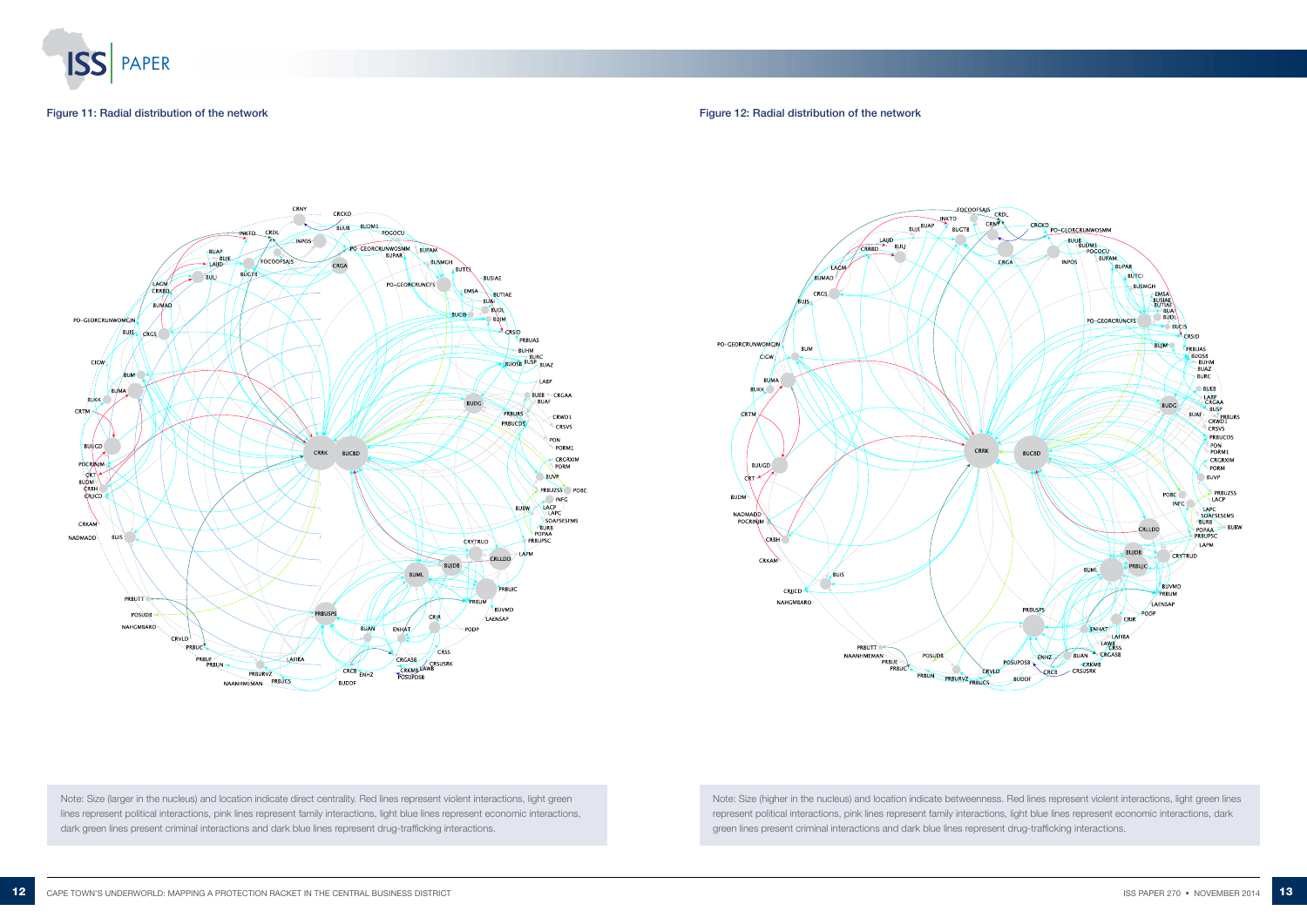

#### Figure 11: Radial distribution of the network

Note: Size (larger in the nucleus) and location indicate direct centrality. Red lines represent violent interactions, light green lines represent political interactions, pink lines represent family interactions, light blue lines represent economic interactions, dark green lines present criminal interactions and dark blue lines represent drug-trafficking interactions.

Figure 12: Radial distribution of the network





Note: Size (higher in the nucleus) and location indicate betweenness. Red lines represent violent interactions, light green lines represent political interactions, pink lines represent family interactions, light blue lines represent economic interactions, dark green lines present criminal interactions and dark blue lines represent drug-trafficking interactions.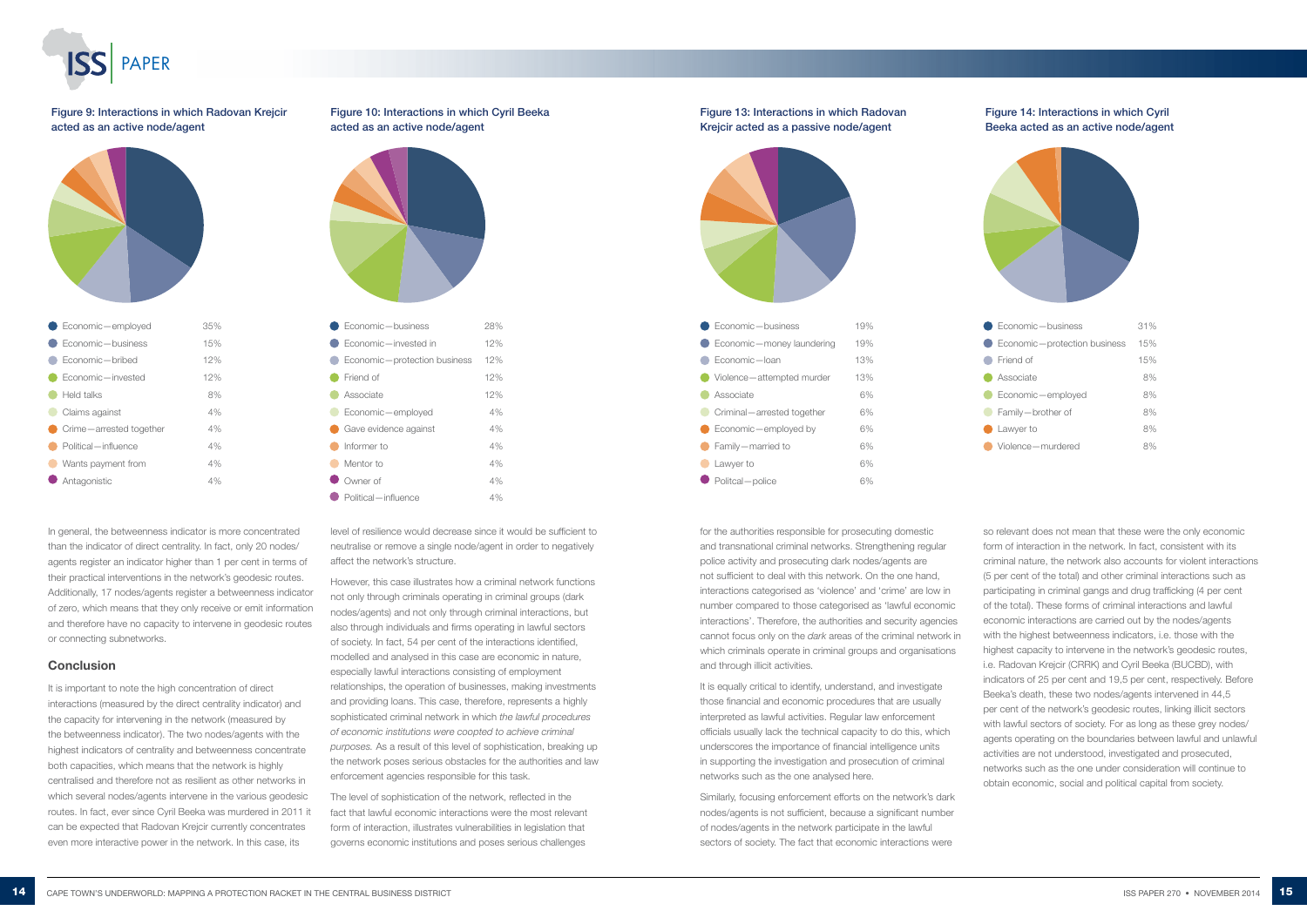

In general, the betweenness indicator is more concentrated than the indicator of direct centrality. In fact, only 20 nodes/ agents register an indicator higher than 1 per cent in terms of their practical interventions in the network's geodesic routes. Additionally, 17 nodes/agents register a betweenness indicator of zero, which means that they only receive or emit information and therefore have no capacity to intervene in geodesic routes or connecting subnetworks.

#### **Conclusion**

It is important to note the high concentration of direct interactions (measured by the direct centrality indicator) and the capacity for intervening in the network (measured by the betweenness indicator). The two nodes/agents with the highest indicators of centrality and betweenness concentrate both capacities, which means that the network is highly centralised and therefore not as resilient as other networks in which several nodes/agents intervene in the various geodesic routes. In fact, ever since Cyril Beeka was murdered in 2011 it can be expected that Radovan Krejcir currently concentrates even more interactive power in the network. In this case, its





# Figure 14: Interactions in which Cyril Beeka acted as an active node/agent



level of resilience would decrease since it would be sufficient to neutralise or remove a single node/agent in order to negatively affect the network's structure.

However, this case illustrates how a criminal network functions not only through criminals operating in criminal groups (dark nodes/agents) and not only through criminal interactions, but also through individuals and firms operating in lawful sectors of society. In fact, 54 per cent of the interactions identified, modelled and analysed in this case are economic in nature, especially lawful interactions consisting of employment relationships, the operation of businesses, making investments and providing loans. This case, therefore, represents a highly sophisticated criminal network in which *the lawful procedures of economic institutions were coopted to achieve criminal purposes.* As a result of this level of sophistication, breaking up the network poses serious obstacles for the authorities and law enforcement agencies responsible for this task.

The level of sophistication of the network, reflected in the fact that lawful economic interactions were the most relevant form of interaction, illustrates vulnerabilities in legislation that governs economic institutions and poses serious challenges

| Economic-employed       | 35% |
|-------------------------|-----|
| Economic-business       | 15% |
| Economic-bribed         | 12% |
| Fconomic-invested       | 12% |
| Held talks              | 8%  |
| Claims against          | 4%  |
| Crime-arrested together | 4%  |
| Political - influence   | 4%  |
| Wants payment from      | 4%  |
| Antagonistic            | 4%  |

Figure 9: Interactions in which Radovan Krejcir acted as an active node/agent





# Figure 10: Interactions in which Cyril Beeka acted as an active node/agent

for the authorities responsible for prosecuting domestic and transnational criminal networks. Strengthening regular police activity and prosecuting dark nodes/agents are not sufficient to deal with this network. On the one hand, interactions categorised as 'violence' and 'crime' are low in number compared to those categorised as 'lawful economic interactions'. Therefore, the authorities and security agencies cannot focus only on the *dark* areas of the criminal network in which criminals operate in criminal groups and organisations and through illicit activities.

It is equally critical to identify, understand, and investigate those financial and economic procedures that are usually interpreted as lawful activities. Regular law enforcement officials usually lack the technical capacity to do this, which underscores the importance of financial intelligence units in supporting the investigation and prosecution of criminal networks such as the one analysed here.

Similarly, focusing enforcement efforts on the network's dark nodes/agents is not sufficient, because a significant number of nodes/agents in the network participate in the lawful sectors of society. The fact that economic interactions were

so relevant does not mean that these were the only economic form of interaction in the network. In fact, consistent with its criminal nature, the network also accounts for violent interactions (5 per cent of the total) and other criminal interactions such as participating in criminal gangs and drug trafficking (4 per cent of the total). These forms of criminal interactions and lawful economic interactions are carried out by the nodes/agents with the highest betweenness indicators, i.e. those with the highest capacity to intervene in the network's geodesic routes, i.e. [Radovan Krejcir](https://vorisoma.scivortex.org/en/node/3763) (CRRK) and Cyril Beeka (BUCBD), with indicators of 25 per cent and 19,5 per cent, respectively. Before Beeka's death, these two nodes/agents intervened in 44,5 per cent of the network's geodesic routes, linking illicit sectors with lawful sectors of society. For as long as these grey nodes/ agents operating on the boundaries between lawful and unlawful activities are not understood, investigated and prosecuted, networks such as the one under consideration will continue to obtain economic, social and political capital from society.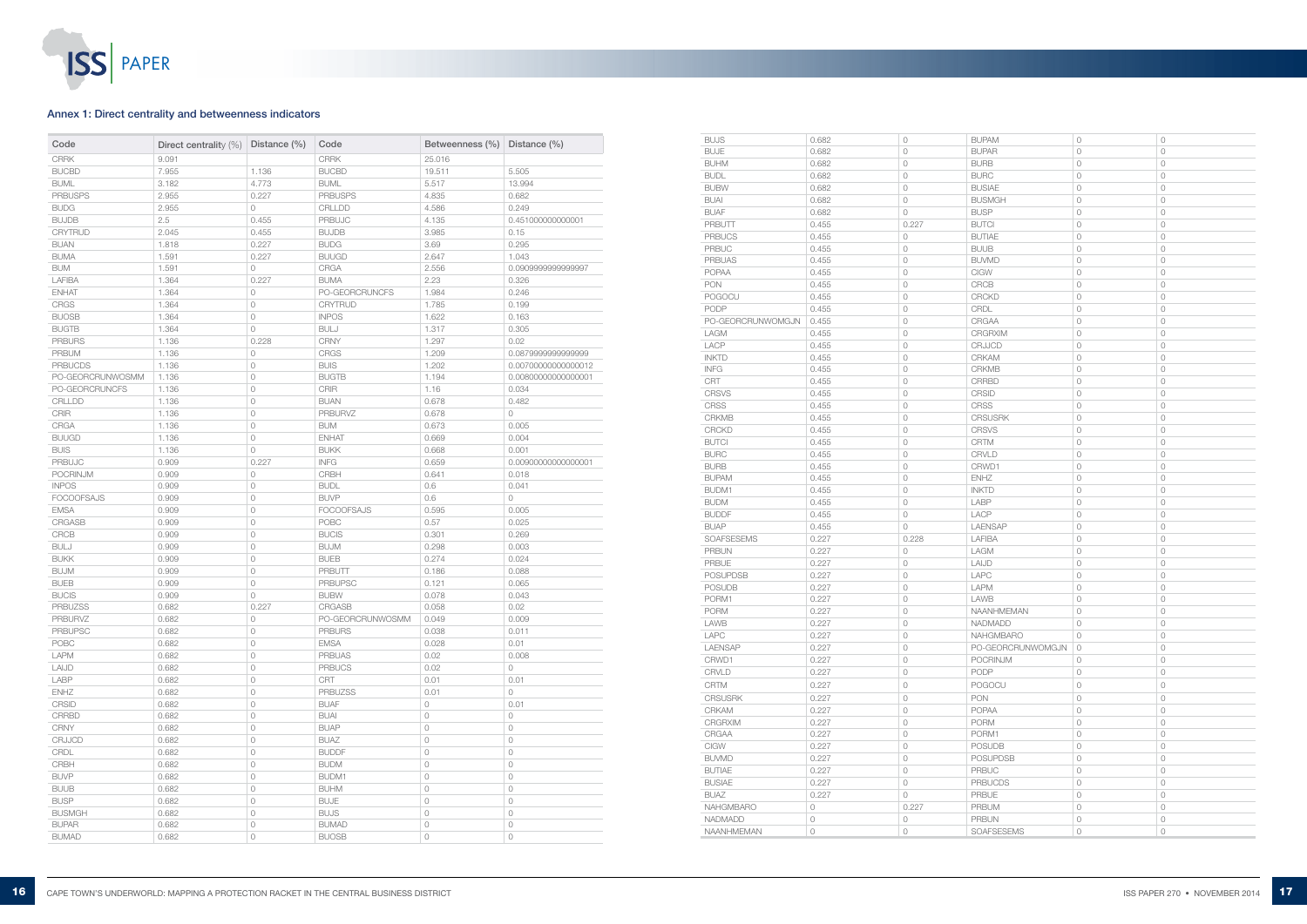

| Code              | Direct centrality (%) | Distance (%)        | Code                         | Betweenness (%)     | Distance (%)        |
|-------------------|-----------------------|---------------------|------------------------------|---------------------|---------------------|
| <b>CRRK</b>       | 9.091                 |                     | <b>CRRK</b>                  | 25.016              |                     |
| <b>BUCBD</b>      | 7.955                 | 1.136               | <b>BUCBD</b>                 | 19.511              | 5.505               |
| <b>BUML</b>       | 3.182                 | 4.773               | <b>BUML</b>                  | 5.517               | 13.994              |
| <b>PRBUSPS</b>    | 2.955                 | 0.227               | <b>PRBUSPS</b>               | 4.835               | 0.682               |
| <b>BUDG</b>       | 2.955                 | $\circlearrowright$ | CRLLDD                       | 4.586               | 0.249               |
| <b>BUJDB</b>      | 2.5                   | 0.455               | PRBUJC                       | 4.135               | 0.451000000000001   |
| <b>CRYTRUD</b>    | 2.045                 | 0.455               | <b>BUJDB</b>                 | 3.985               | 0.15                |
| <b>BUAN</b>       | 1.818                 | 0.227               | <b>BUDG</b>                  | 3.69                | 0.295               |
| <b>BUMA</b>       | 1.591                 | 0.227               | <b>BUUGD</b>                 | 2.647               | 1.043               |
| <b>BUM</b>        | 1.591                 | 0                   | CRGA                         | 2.556               | 0.090999999999997   |
| LAFIBA            | 1.364                 | 0.227               | <b>BUMA</b>                  | 2.23                | 0.326               |
| <b>ENHAT</b>      | 1.364                 | 0                   | PO-GEORCRUNCFS               | 1.984               | 0.246               |
| <b>CRGS</b>       | 1.364                 | $\circ$             | <b>CRYTRUD</b>               | 1.785               | 0.199               |
| <b>BUOSB</b>      | 1.364                 | 0                   | <b>INPOS</b>                 | 1.622               | 0.163               |
| <b>BUGTB</b>      | 1.364                 | 0                   | <b>BULJ</b>                  | 1.317               | 0.305               |
| <b>PRBURS</b>     | 1.136                 | 0.228               | <b>CRNY</b>                  | 1.297               | 0.02                |
| <b>PRBUM</b>      | 1.136                 | 0                   | <b>CRGS</b>                  | 1.209               | 0.0879999999999999  |
| <b>PRBUCDS</b>    | 1.136                 | 0                   | <b>BUIS</b>                  | 1.202               | 0.00700000000000012 |
| PO-GEORCRUNWOSMM  | 1.136                 | $\circ$             | <b>BUGTB</b>                 | 1.194               | 0.00800000000000001 |
| PO-GEORCRUNCFS    | 1.136                 | 0                   | CRIR                         | 1.16                | 0.034               |
| CRLLDD            | 1.136                 | 0                   | <b>BUAN</b>                  | 0.678               | 0.482               |
| CRIR              | 1.136                 | $\circlearrowright$ | <b>PRBURVZ</b>               | 0.678               | $\circ$             |
| CRGA              |                       | $\mathbb O$         | <b>BUM</b>                   | 0.673               | 0.005               |
|                   | 1.136                 |                     |                              |                     |                     |
| <b>BUUGD</b>      | 1.136                 | 0                   | <b>ENHAT</b>                 | 0.669               | 0.004               |
| <b>BUIS</b>       | 1.136                 | 0                   | <b>BUKK</b>                  | 0.668               | 0.001               |
| <b>PRBUJC</b>     | 0.909                 | 0.227               | $\ensuremath{\mathsf{INFG}}$ | 0.659               | 0.00900000000000001 |
| <b>POCRINJM</b>   | 0.909                 | 0                   | <b>CRBH</b>                  | 0.641               | 0.018               |
| <b>INPOS</b>      | 0.909                 | $\circlearrowright$ | <b>BUDL</b>                  | 0.6                 | 0.041               |
| <b>FOCOOFSAJS</b> | 0.909                 | $\circlearrowright$ | <b>BUVP</b>                  | 0.6                 | $\circ$             |
| <b>EMSA</b>       | 0.909                 | $\circlearrowright$ | <b>FOCOOFSAJS</b>            | 0.595               | 0.005               |
| <b>CRGASB</b>     | 0.909                 | 0                   | POBC                         | 0.57                | 0.025               |
| CRCB              | 0.909                 | 0                   | <b>BUCIS</b>                 | 0.301               | 0.269               |
| <b>BULJ</b>       | 0.909                 | 0                   | <b>BUJM</b>                  | 0.298               | 0.003               |
| <b>BUKK</b>       | 0.909                 | $\circlearrowright$ | <b>BUEB</b>                  | 0.274               | 0.024               |
| <b>BUJM</b>       | 0.909                 | $\circlearrowright$ | PRBUTT                       | 0.186               | 0.088               |
| <b>BUEB</b>       | 0.909                 | $\circlearrowright$ | <b>PRBUPSC</b>               | 0.121               | 0.065               |
| <b>BUCIS</b>      | 0.909                 | 0                   | <b>BUBW</b>                  | 0.078               | 0.043               |
| <b>PRBUZSS</b>    | 0.682                 | 0.227               | <b>CRGASB</b>                | 0.058               | 0.02                |
| <b>PRBURVZ</b>    | 0.682                 | 0                   | PO-GEORCRUNWOSMM             | 0.049               | 0.009               |
| <b>PRBUPSC</b>    | 0.682                 | 0                   | <b>PRBURS</b>                | 0.038               | 0.011               |
| POBC              | 0.682                 | $\circ$             | <b>EMSA</b>                  | 0.028               | 0.01                |
| <b>LAPM</b>       | 0.682                 | $\circ$             | <b>PRBUAS</b>                | 0.02                | 0.008               |
| LAIJD             | 0.682                 | 0                   | <b>PRBUCS</b>                | 0.02                | $\circ$             |
| <b>LABP</b>       | 0.682                 | $\circ$             | CRT                          | 0.01                | 0.01                |
| <b>ENHZ</b>       | 0.682                 | 0                   | <b>PRBUZSS</b>               | 0.01                | $\circ$             |
| CRSID             | 0.682                 | $\circ$             | <b>BUAF</b>                  | $\circ$             | 0.01                |
| <b>CRRBD</b>      | 0.682                 | $\circ$             | <b>BUAI</b>                  | $\circ$             | $\circ$             |
| <b>CRNY</b>       | 0.682                 | $\circ$             | <b>BUAP</b>                  | $\circlearrowright$ | 0                   |
| <b>CRJJCD</b>     | 0.682                 | 0                   | <b>BUAZ</b>                  | $\circlearrowright$ | 0                   |
| CRDL              | 0.682                 | $\circ$             | <b>BUDDF</b>                 | $\circlearrowright$ | $\circ$             |
| CRBH              | 0.682                 | 0                   | <b>BUDM</b>                  | $\circlearrowright$ | $\circ$             |
| <b>BUVP</b>       | 0.682                 | 0                   | BUDM1                        | $\circlearrowright$ | $\circ$             |
| <b>BUUB</b>       | 0.682                 | $\circ$             | <b>BUHM</b>                  | $\circlearrowright$ | 0                   |
| <b>BUSP</b>       | 0.682                 | $\circlearrowright$ | <b>BUJE</b>                  | $\circlearrowright$ | $\circ$             |
| <b>BUSMGH</b>     | 0.682                 | 0                   | <b>BUJS</b>                  | $\circ$             | 0                   |
| <b>BUPAR</b>      | 0.682                 | 0                   | <b>BUMAD</b>                 | $\circledcirc$      | $\circ$             |
| <b>BUMAD</b>      | 0.682                 | $\circlearrowright$ | <b>BUOSB</b>                 | $\circlearrowright$ | $\circ$             |

### Annex 1: Direct centrality and betweenness indicators

| <b>BUJS</b>       | 0.682   | $\circ$             | <b>BUPAM</b>      | $\circlearrowright$ | $\circlearrowright$ |
|-------------------|---------|---------------------|-------------------|---------------------|---------------------|
| <b>BUJE</b>       | 0.682   | $\circ$             | <b>BUPAR</b>      | $\circlearrowright$ | $\circlearrowright$ |
| <b>BUHM</b>       | 0.682   | $\bigcirc$          | <b>BURB</b>       | $\bigcirc$          | $\circlearrowright$ |
| <b>BUDL</b>       | 0.682   | $\circlearrowright$ | <b>BURC</b>       | $\circledcirc$      | $\circlearrowright$ |
| <b>BUBW</b>       | 0.682   | $\bigcirc$          | <b>BUSIAE</b>     | $\circlearrowright$ | $\circlearrowright$ |
| <b>BUAI</b>       | 0.682   | $\circlearrowright$ | <b>BUSMGH</b>     | $\circ$             | $\circlearrowright$ |
| <b>BUAF</b>       | 0.682   | $\circlearrowright$ | <b>BUSP</b>       | $\circledcirc$      | $\circlearrowright$ |
| PRBUTT            | 0.455   | 0.227               | <b>BUTCI</b>      | $\circlearrowright$ | $\circlearrowright$ |
| <b>PRBUCS</b>     | 0.455   | $\circlearrowright$ | <b>BUTIAE</b>     | 0                   | $\circlearrowright$ |
| <b>PRBUC</b>      | 0.455   | $\circlearrowright$ | <b>BUUB</b>       | $\circledcirc$      | $\circlearrowright$ |
| <b>PRBUAS</b>     | 0.455   | $\bigcirc$          | <b>BUVMD</b>      | $\bigcirc$          | $\circlearrowright$ |
| <b>POPAA</b>      | 0.455   | $\circlearrowright$ | <b>CIGW</b>       | 0                   | 0                   |
| <b>PON</b>        | 0.455   | $\circlearrowright$ | <b>CRCB</b>       | $\circledcirc$      | $\circlearrowright$ |
| POGOCU            | 0.455   | $\bigcirc$          | <b>CRCKD</b>      | $\circlearrowright$ | $\circlearrowright$ |
| PODP              | 0.455   | $\circlearrowright$ | CRDL              | 0                   | $\circledcirc$      |
| PO-GEORCRUNWOMGJN | 0.455   | $\circlearrowright$ | CRGAA             | $\bigcirc$          | $\circlearrowright$ |
| LAGM              | 0.455   | $\bigcirc$          | <b>CRGRXIM</b>    | $\bigcirc$          | $\circlearrowright$ |
| LACP              | 0.455   | $\circlearrowright$ | <b>CRJJCD</b>     | 0                   | $\circlearrowright$ |
| <b>INKTD</b>      | 0.455   | $\bigcirc$          | <b>CRKAM</b>      | $\circledcirc$      | $\circledcirc$      |
| <b>INFG</b>       | 0.455   | $\circlearrowright$ | <b>CRKMB</b>      | $\circlearrowright$ | $\circlearrowright$ |
| <b>CRT</b>        | 0.455   | $\circlearrowright$ | <b>CRRBD</b>      | $\circlearrowright$ | $\circlearrowright$ |
| <b>CRSVS</b>      | 0.455   | $\circlearrowright$ | <b>CRSID</b>      | $\circledcirc$      | $\circlearrowright$ |
| <b>CRSS</b>       | 0.455   | $\bigcirc$          | <b>CRSS</b>       | $\bigcirc$          | $\circlearrowright$ |
| <b>CRKMB</b>      | 0.455   | $\circlearrowright$ | <b>CRSUSRK</b>    | 0                   | 0                   |
| <b>CRCKD</b>      | 0.455   | $\circlearrowright$ | <b>CRSVS</b>      | 0                   | $\circledcirc$      |
| <b>BUTCI</b>      | 0.455   | $\circlearrowright$ | <b>CRTM</b>       | $\circledcirc$      | $\circlearrowright$ |
| <b>BURC</b>       | 0.455   | $\circlearrowright$ | <b>CRVLD</b>      | $\circlearrowright$ | $\circledcirc$      |
| <b>BURB</b>       | 0.455   | $\bigcirc$          | CRWD1             | $\bigcirc$          | $\circlearrowright$ |
| <b>BUPAM</b>      | 0.455   | $\circlearrowright$ | <b>ENHZ</b>       | 0                   | $\circlearrowright$ |
| BUDM1             | 0.455   | $\circlearrowright$ | <b>INKTD</b>      | 0                   | $\circlearrowright$ |
| <b>BUDM</b>       | 0.455   | $\circ$             | LABP              | $\bigcirc$          | $\circ$             |
| <b>BUDDF</b>      | 0.455   | $\circlearrowright$ | LACP              | $\circledcirc$      | $\circlearrowright$ |
| <b>BUAP</b>       | 0.455   | $\circlearrowright$ | <b>LAENSAP</b>    | $\circlearrowright$ | $\circlearrowright$ |
| <b>SOAFSESEMS</b> | 0.227   | 0.228               | LAFIBA            | $\circ$             | $\circlearrowright$ |
| <b>PRBUN</b>      | 0.227   | $\circlearrowright$ | LAGM              | $\circledcirc$      | $\circlearrowright$ |
| <b>PRBUE</b>      | 0.227   | $\bigcirc$          | LAIJD             | 0                   | $\circlearrowright$ |
| <b>POSUPDSB</b>   | 0.227   | $\bigcirc$          | LAPC              | 0                   | $\circlearrowright$ |
| <b>POSUDB</b>     | 0.227   | $\circlearrowright$ | <b>LAPM</b>       | $\circledcirc$      | $\circlearrowright$ |
| PORM1             | 0.227   | $\circlearrowright$ | LAWB              | 0                   | $\circlearrowright$ |
| <b>PORM</b>       | 0.227   | $\circ$             | <b>NAANHMEMAN</b> | 0                   | $\circ$             |
| LAWB              | 0.227   | 0                   | <b>NADMADD</b>    | 0                   | 0                   |
| LAPC              | 0.227   | $\circ$             | <b>NAHGMBARO</b>  | 0                   | 0                   |
| <b>LAENSAP</b>    | 0.227   | $\circlearrowright$ | PO-GEORCRUNWOMGJN | $\circ$             | $\circ$             |
| CRWD1             | 0.227   | $\circ$             | <b>POCRINJM</b>   | $\circ$             | $\circ$             |
| CRVLD             | 0.227   | $\circ$             | PODP              | 0                   | $\circ$             |
| <b>CRTM</b>       | 0.227   | $\circ$             | POGOCU            | $\circ$             | $\circ$             |
|                   |         |                     |                   |                     |                     |
| <b>CRSUSRK</b>    | 0.227   | $\circ$             | <b>PON</b>        | 0                   | $\circ$             |
| <b>CRKAM</b>      | 0.227   | $\circ$             | <b>POPAA</b>      | $\circ$             | $\circ$             |
| <b>CRGRXIM</b>    | 0.227   | $\circ$             | <b>PORM</b>       | $\circlearrowright$ | $\circ$             |
| CRGAA             | 0.227   | $\circlearrowright$ | PORM1             | $\bigcirc$          | $\circ$             |
| CIGW              | 0.227   | $\circlearrowright$ | <b>POSUDB</b>     | $\circlearrowright$ | $\circledcirc$      |
| <b>BUVMD</b>      | 0.227   | $\circ$             | <b>POSUPDSB</b>   | $\bigcirc$          | $\circ$             |
| <b>BUTIAE</b>     | 0.227   | $\circ$             | <b>PRBUC</b>      | $\bigcirc$          | $\circ$             |
| <b>BUSIAE</b>     | 0.227   | $\circ$             | <b>PRBUCDS</b>    | 0                   | $\circ$             |
| <b>BUAZ</b>       | 0.227   | $\circ$             | <b>PRBUE</b>      | $\circlearrowright$ | $\circ$             |
| <b>NAHGMBARO</b>  | $\circ$ | 0.227               | <b>PRBUM</b>      | $\circlearrowright$ | $\circlearrowright$ |
| <b>NADMADD</b>    | 0       | 0                   | <b>PRBUN</b>      | 0                   | $\circlearrowright$ |
| <b>NAANHMEMAN</b> | 0       | $\circlearrowright$ | <b>SOAFSESEMS</b> | $\bigcirc$          | $\bigcirc$          |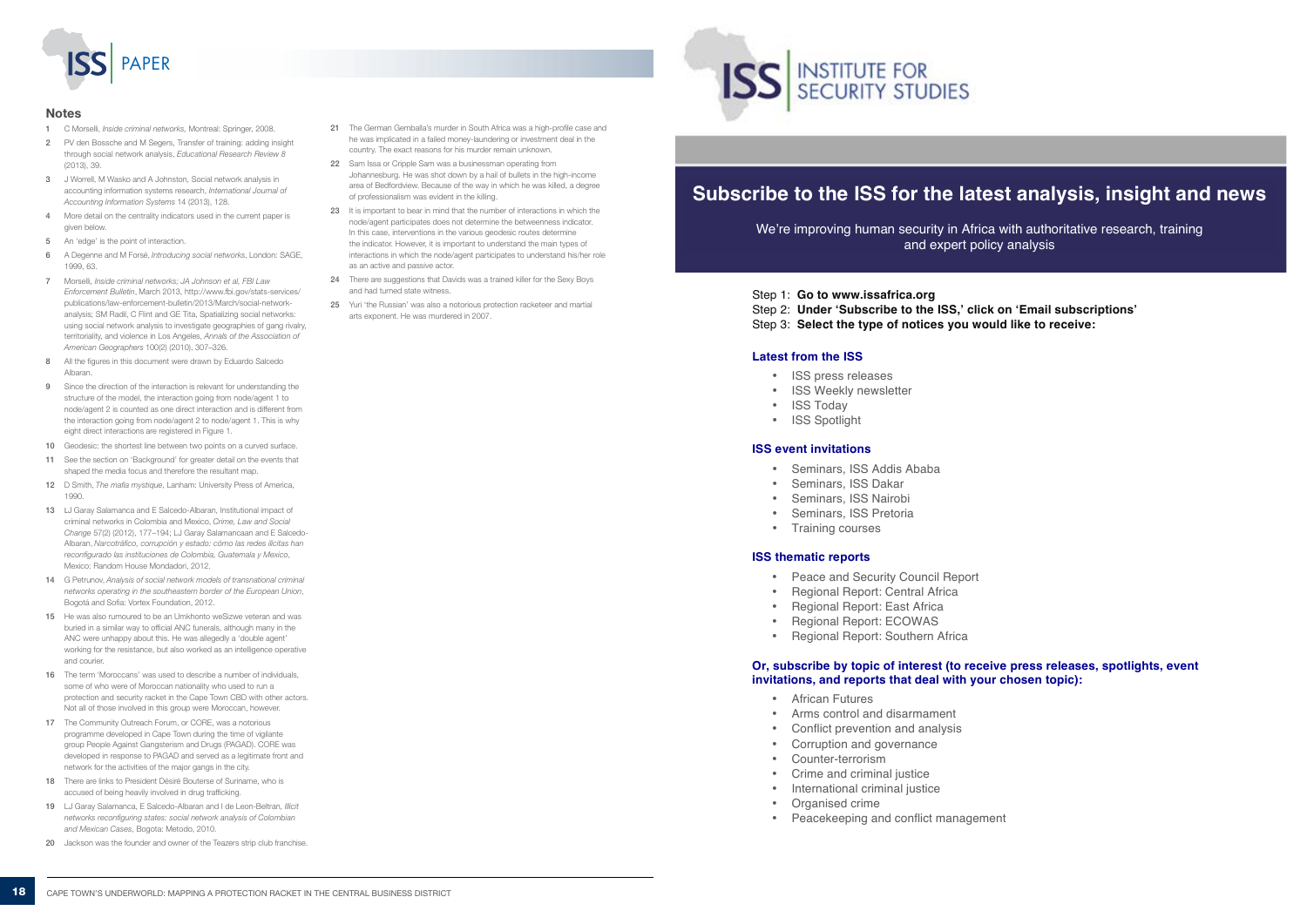- 1 C Morselli, *Inside criminal networks,* Montreal: Springer, 2008.
- 2 PV den Bossche and M Segers, Transfer of training: adding insight through social network analysis, *Educational Research Review 8* (2013), 39
- 3 J Worrell, M Wasko and A Johnston, Social network analysis in accounting information systems research, *International Journal of Accounting Information Systems* 14 (2013), 128.
- More detail on the centrality indicators used in the current paper is given below.
- 5 An 'edge' is the point of interaction.
- 6 A Degenne and M Forsé, *Introducing social networks*, London: SAGE, 1999, 63.
- 7 Morselli, *Inside criminal networks; JA Johnson et al, FBI Law Enforcement Bulletin*, March 2013, http://www.fbi.gov/stats-services/ publications/law-enforcement-bulletin/2013/March/social-networkanalysis; SM Radil, C Flint and GE Tita, Spatializing social networks: using social network analysis to investigate geographies of gang rivalry, territoriality, and violence in Los Angeles, *Annals of the Association of American Geographers* 100(2) (2010), 307–326.
- 8 All the figures in this document were drawn by Eduardo Salcedo Albaran.
- 9 Since the direction of the interaction is relevant for understanding the structure of the model, the interaction going from node/agent 1 to node/agent 2 is counted as one direct interaction and is different from the interaction going from node/agent 2 to node/agent 1. This is why eight direct interactions are registered in Figure 1.
- 10 Geodesic: the shortest line between two points on a curved surface.
- 11 See the section on 'Background' for greater detail on the events that shaped the media focus and therefore the resultant map.
- 12 D Smith, *The mafia mystique*, Lanham: University Press of America, 1990.
- 13 LJ Garay Salamanca and E Salcedo-Albaran, Institutional impact of criminal networks in Colombia and Mexico, *Crime, Law and Social Change* 57(2) (2012), 177–194; LJ Garay Salamancaan and E Salcedo-Albaran, *Narcotráfico, corrupción y estado: cómo las redes ilícitas han reconfigurado las instituciones de Colombia, Guatemala y Mexico*, Mexico: Random House Mondadori, 2012.
- 14 G Petrunov, *Analysis of social network models of transnational criminal networks operating in the southeastern border of the European Union*, Bogotá and Sofia: Vortex Foundation, 2012.
- 15 He was also rumoured to be an Umkhonto weSizwe veteran and was buried in a similar way to official ANC funerals, although many in the ANC were unhappy about this. He was allegedly a 'double agent' working for the resistance, but also worked as an intelligence operative and courier.
- 16 The term 'Moroccans' was used to describe a number of individuals. some of who were of Moroccan nationality who used to run a protection and security racket in the Cape Town CBD with other actors. Not all of those involved in this group were Moroccan, however.
- 17 The Community Outreach Forum, or CORE, was a notorious programme developed in Cape Town during the time of vigilante group People Against Gangsterism and Drugs (PAGAD). CORE was developed in response to PAGAD and served as a legitimate front and network for the activities of the major gangs in the city.
- 18 There are links to President Désiré Bouterse of Suriname, who is accused of being heavily involved in drug trafficking.
- 19 LJ Garay Salamanca, E Salcedo-Albaran and I de Leon-Beltran, *Illicit networks reconfiguring states: social network analysis of Colombian and Mexican Cases*, Bogota: Metodo, 2010.
- 20 Jackson was the founder and owner of the Teazers strip club franchise



#### Notes

- 21 The German Gemballa's murder in South Africa was a high-profile case and he was implicated in a failed money-laundering or investment deal in the country. The exact reasons for his murder remain unknown.
- 22 Sam Issa or Cripple Sam was a businessman operating from Johannesburg. He was shot down by a hail of bullets in the high-income area of Bedfordview. Because of the way in which he was killed, a degree of professionalism was evident in the killing.
- 23 It is important to bear in mind that the number of interactions in which the node/agent participates does not determine the betweenness indicator. In this case, interventions in the various geodesic routes determine the indicator. However, it is important to understand the main types of interactions in which the node/agent participates to understand his/her role as an active and passive actor.
- 24 There are suggestions that Davids was a trained killer for the Sexy Boys and had turned state witness.
- 25 Yuri 'the Russian' was also a notorious protection racketeer and martial arts exponent. He was murdered in 2007.



# **Subscribe to the ISS for the latest analysis, insight and news**

We're improving human security in Africa with authoritative research, training and expert policy analysis

- Step 1: **Go to www.issafrica.org**
- Step 2: **Under 'Subscribe to the ISS,' click on 'Email subscriptions'**
- Step 3: **Select the type of notices you would like to receive:**

### **Latest from the ISS**

- ISS press releases
- ISS Weekly newsletter
- ISS Today
- ISS Spotlight

#### **ISS event invitations**

- Seminars, ISS Addis Ababa
- Seminars, ISS Dakar
- Seminars, ISS Nairobi
- Seminars, ISS Pretoria
- Training courses

#### **ISS thematic reports**

- Peace and Security Council Report
- Regional Report: Central Africa
- Regional Report: East Africa
- Regional Report: ECOWAS
- Regional Report: Southern Africa

#### **Or, subscribe by topic of interest (to receive press releases, spotlights, event invitations, and reports that deal with your chosen topic):**

- African Futures
- Arms control and disarmament
- Conflict prevention and analysis
- Corruption and governance
- Counter-terrorism
- Crime and criminal justice
- International criminal justice
- Organised crime
- Peacekeeping and conflict management